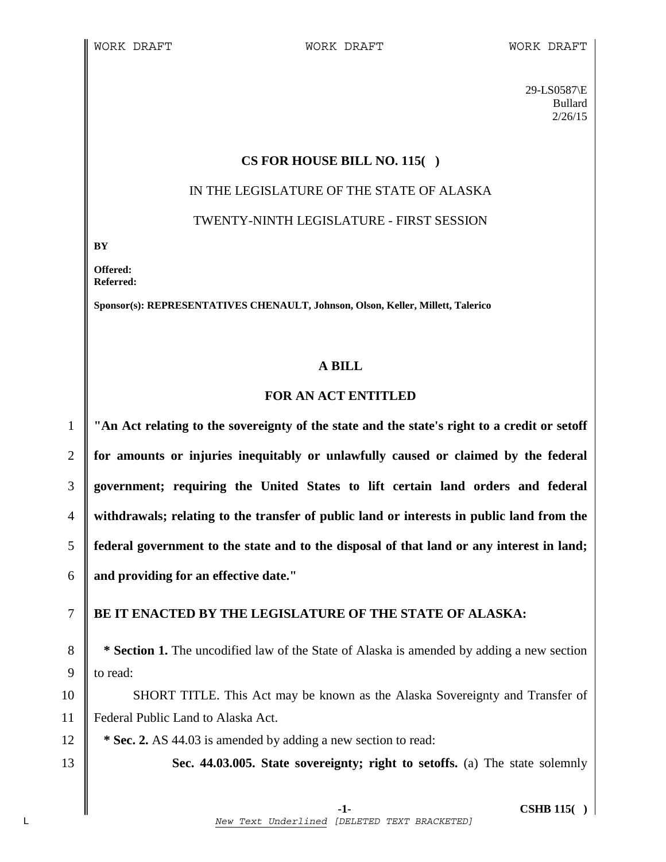29-LS0587\E Bullard 2/26/15

### **CS FOR HOUSE BILL NO. 115( )**

# IN THE LEGISLATURE OF THE STATE OF ALASKA

TWENTY-NINTH LEGISLATURE - FIRST SESSION

**BY** 

**Offered: Referred:** 

**Sponsor(s): REPRESENTATIVES CHENAULT, Johnson, Olson, Keller, Millett, Talerico** 

### **A BILL**

# **FOR AN ACT ENTITLED**

**"An Act relating to the sovereignty of the state and the state's right to a credit or setoff for amounts or injuries inequitably or unlawfully caused or claimed by the federal government; requiring the United States to lift certain land orders and federal withdrawals; relating to the transfer of public land or interests in public land from the federal government to the state and to the disposal of that land or any interest in land; and providing for an effective date."** 

# 7 **BE IT ENACTED BY THE LEGISLATURE OF THE STATE OF ALASKA:**

8 **\*** Section 1. The uncodified law of the State of Alaska is amended by adding a new section 9 to read:

10 SHORT TITLE. This Act may be known as the Alaska Sovereignty and Transfer of 11 Federal Public Land to Alaska Act.

12 **\*** Sec. 2. AS 44.03 is amended by adding a new section to read:

13 **Sec. 44.03.005. State sovereignty; right to setoffs.** (a) The state solemnly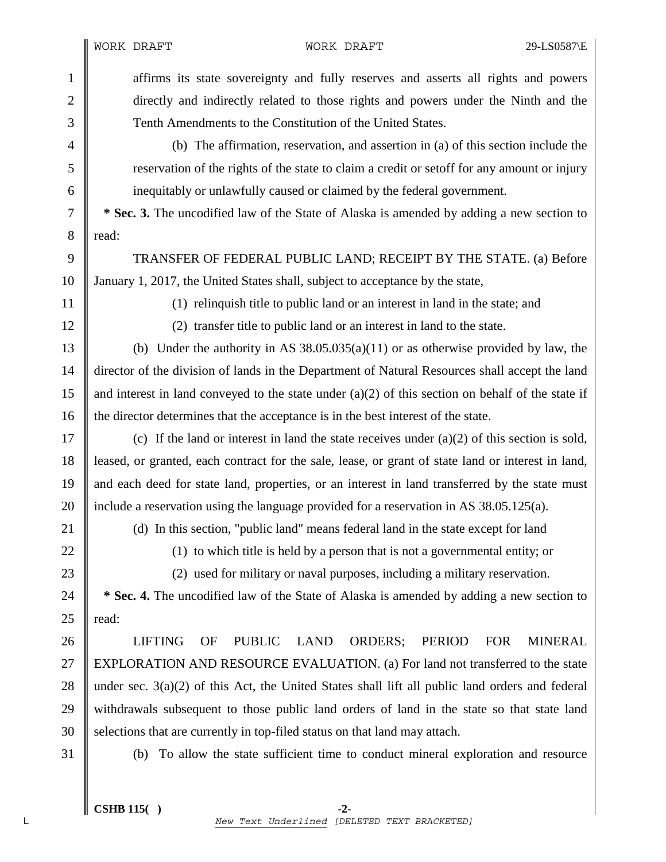1 affirms its state sovereignty and fully reserves and asserts all rights and powers 2 directly and indirectly related to those rights and powers under the Ninth and the 3 Tenth Amendments to the Constitution of the United States.

4 (b) The affirmation, reservation, and assertion in (a) of this section include the 5 reservation of the rights of the state to claim a credit or setoff for any amount or injury 6 inequitably or unlawfully caused or claimed by the federal government.

7 **\* Sec. 3.** The uncodified law of the State of Alaska is amended by adding a new section to 8 || read:

9 TRANSFER OF FEDERAL PUBLIC LAND; RECEIPT BY THE STATE. (a) Before 10 January 1, 2017, the United States shall, subject to acceptance by the state,

11 (1) relinquish title to public land or an interest in land in the state; and

12 (2) transfer title to public land or an interest in land to the state.

13 (b) Under the authority in AS  $38.05.035(a)(11)$  or as otherwise provided by law, the 14 director of the division of lands in the Department of Natural Resources shall accept the land 15 || and interest in land conveyed to the state under (a)(2) of this section on behalf of the state if 16 || the director determines that the acceptance is in the best interest of the state.

17 (c) If the land or interest in land the state receives under (a)(2) of this section is sold, 18 leased, or granted, each contract for the sale, lease, or grant of state land or interest in land, 19 and each deed for state land, properties, or an interest in land transferred by the state must 20  $\parallel$  include a reservation using the language provided for a reservation in AS 38.05.125(a).

21 (d) In this section, "public land" means federal land in the state except for land

22 (1) to which title is held by a person that is not a governmental entity; or

23 (2) used for military or naval purposes, including a military reservation.

24 **\* Sec. 4.** The uncodified law of the State of Alaska is amended by adding a new section to 25  $\parallel$  read:

26 LIFTING OF PUBLIC LAND ORDERS; PERIOD FOR MINERAL 27 EXPLORATION AND RESOURCE EVALUATION. (a) For land not transferred to the state 28 || under sec. 3(a)(2) of this Act, the United States shall lift all public land orders and federal 29 withdrawals subsequent to those public land orders of land in the state so that state land 30 Selections that are currently in top-filed status on that land may attach.

31 (b) To allow the state sufficient time to conduct mineral exploration and resource